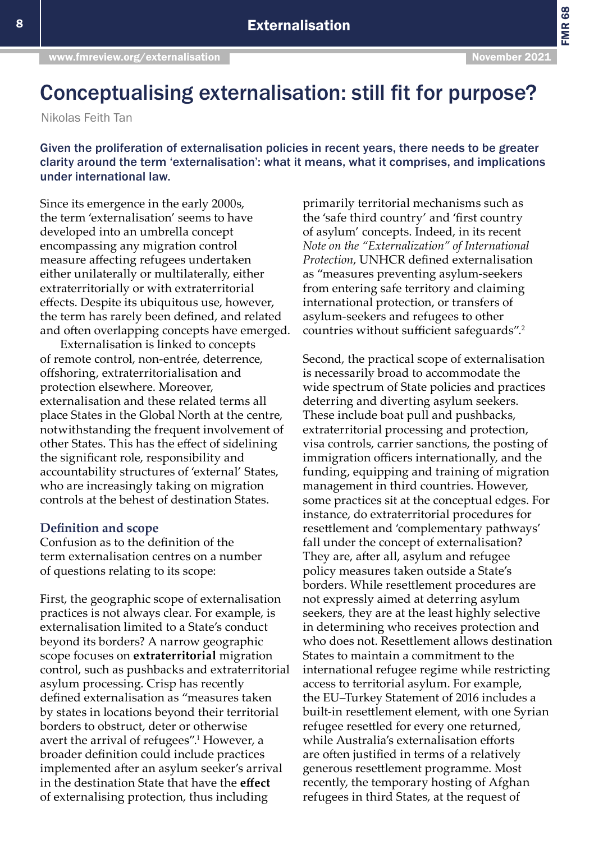FMR 68

## Conceptualising externalisation: still fit for purpose?

Nikolas Feith Tan

Given the proliferation of externalisation policies in recent years, there needs to be greater clarity around the term 'externalisation': what it means, what it comprises, and implications under international law.

Since its emergence in the early 2000s, the term 'externalisation' seems to have developed into an umbrella concept encompassing any migration control measure affecting refugees undertaken either unilaterally or multilaterally, either extraterritorially or with extraterritorial effects. Despite its ubiquitous use, however, the term has rarely been defined, and related and often overlapping concepts have emerged.

Externalisation is linked to concepts of remote control, non-entrée, deterrence, offshoring, extraterritorialisation and protection elsewhere. Moreover, externalisation and these related terms all place States in the Global North at the centre, notwithstanding the frequent involvement of other States. This has the effect of sidelining the significant role, responsibility and accountability structures of 'external' States, who are increasingly taking on migration controls at the behest of destination States.

## **Definition and scope**

Confusion as to the definition of the term externalisation centres on a number of questions relating to its scope:

First, the geographic scope of externalisation practices is not always clear. For example, is externalisation limited to a State's conduct beyond its borders? A narrow geographic scope focuses on **extraterritorial** migration control, such as pushbacks and extraterritorial asylum processing. Crisp has recently defined externalisation as "measures taken by states in locations beyond their territorial borders to obstruct, deter or otherwise avert the arrival of refugees".<sup>1</sup> However, a broader definition could include practices implemented after an asylum seeker's arrival in the destination State that have the **effect** of externalising protection, thus including

primarily territorial mechanisms such as the 'safe third country' and 'first country of asylum' concepts. Indeed, in its recent *Note on the "Externalization" of International Protection*, UNHCR defined externalisation as "measures preventing asylum-seekers from entering safe territory and claiming international protection, or transfers of asylum-seekers and refugees to other countries without sufficient safeguards".<sup>2</sup>

Second, the practical scope of externalisation is necessarily broad to accommodate the wide spectrum of State policies and practices deterring and diverting asylum seekers. These include boat pull and pushbacks, extraterritorial processing and protection, visa controls, carrier sanctions, the posting of immigration officers internationally, and the funding, equipping and training of migration management in third countries. However, some practices sit at the conceptual edges. For instance, do extraterritorial procedures for resettlement and 'complementary pathways' fall under the concept of externalisation? They are, after all, asylum and refugee policy measures taken outside a State's borders. While resettlement procedures are not expressly aimed at deterring asylum seekers, they are at the least highly selective in determining who receives protection and who does not. Resettlement allows destination States to maintain a commitment to the international refugee regime while restricting access to territorial asylum. For example, the EU–Turkey Statement of 2016 includes a built-in resettlement element, with one Syrian refugee resettled for every one returned, while Australia's externalisation efforts are often justified in terms of a relatively generous resettlement programme. Most recently, the temporary hosting of Afghan refugees in third States, at the request of